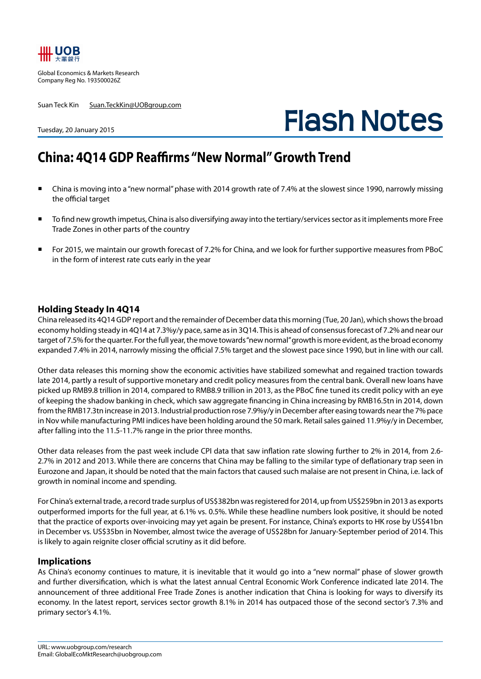

Global Economics & Markets Research Company Reg No. 193500026Z

Suan Teck Kin Suan.TeckKin@UOBgroup.com

# **Flash Notes**

## Tuesday, 20 January 2015

## **China: 4Q14 GDP Reaffirms "New Normal" Growth Trend**

- China is moving into a "new normal" phase with 2014 growth rate of 7.4% at the slowest since 1990, narrowly missing the official target
- To find new growth impetus, China is also diversifying away into the tertiary/services sector as it implements more Free Trade Zones in other parts of the country
- For 2015, we maintain our growth forecast of 7.2% for China, and we look for further supportive measures from PBoC in the form of interest rate cuts early in the year

### **Holding Steady In 4Q14**

China released its 4Q14 GDP report and the remainder of December data this morning (Tue, 20 Jan), which shows the broad economy holding steady in 4Q14 at 7.3%y/y pace, same as in 3Q14. This is ahead of consensus forecast of 7.2% and near our target of 7.5% for the quarter. For the full year, the move towards "new normal" growth is more evident, as the broad economy expanded 7.4% in 2014, narrowly missing the official 7.5% target and the slowest pace since 1990, but in line with our call.

Other data releases this morning show the economic activities have stabilized somewhat and regained traction towards late 2014, partly a result of supportive monetary and credit policy measures from the central bank. Overall new loans have picked up RMB9.8 trillion in 2014, compared to RMB8.9 trillion in 2013, as the PBoC fine tuned its credit policy with an eye of keeping the shadow banking in check, which saw aggregate financing in China increasing by RMB16.5tn in 2014, down from the RMB17.3tn increase in 2013. Industrial production rose 7.9%y/y in December after easing towards near the 7% pace in Nov while manufacturing PMI indices have been holding around the 50 mark. Retail sales gained 11.9%y/y in December, after falling into the 11.5-11.7% range in the prior three months.

Other data releases from the past week include CPI data that saw inflation rate slowing further to 2% in 2014, from 2.6- 2.7% in 2012 and 2013. While there are concerns that China may be falling to the similar type of deflationary trap seen in Eurozone and Japan, it should be noted that the main factors that caused such malaise are not present in China, i.e. lack of growth in nominal income and spending.

For China's external trade, a record trade surplus of US\$382bn was registered for 2014, up from US\$259bn in 2013 as exports outperformed imports for the full year, at 6.1% vs. 0.5%. While these headline numbers look positive, it should be noted that the practice of exports over-invoicing may yet again be present. For instance, China's exports to HK rose by US\$41bn in December vs. US\$35bn in November, almost twice the average of US\$28bn for January-September period of 2014. This is likely to again reignite closer official scrutiny as it did before.

#### **Implications**

As China's economy continues to mature, it is inevitable that it would go into a "new normal" phase of slower growth and further diversification, which is what the latest annual Central Economic Work Conference indicated late 2014. The announcement of three additional Free Trade Zones is another indication that China is looking for ways to diversify its economy. In the latest report, services sector growth 8.1% in 2014 has outpaced those of the second sector's 7.3% and primary sector's 4.1%.